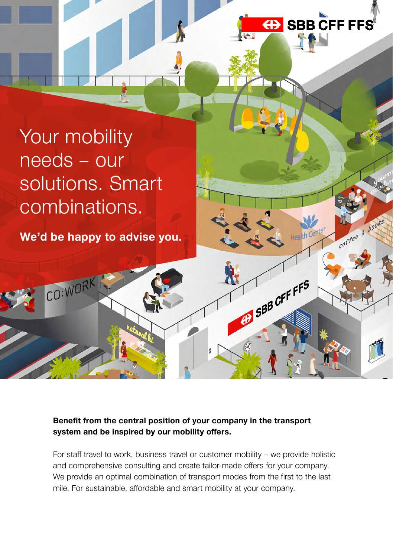

SBB CFF FFS

coffee & books

# Your mobility needs – our solutions. Smart combinations.

**We'd be happy to advise you.**

CO:WORK

### **Benefit from the central position of your company in the transport system and be inspired by our mobility offers.**

For staff travel to work, business travel or customer mobility – we provide holistic and comprehensive consulting and create tailor-made offers for your company. We provide an optimal combination of transport modes from the first to the last mile. For sustainable, affordable and smart mobility at your company.